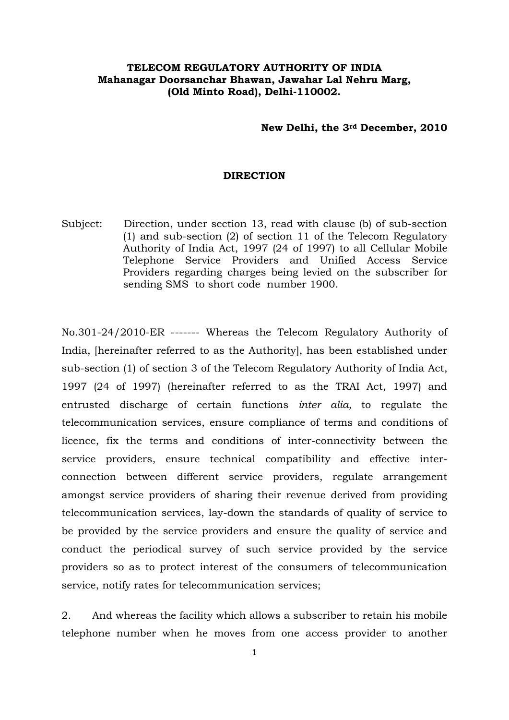## **TELECOM REGULATORY AUTHORITY OF INDIA Mahanagar Doorsanchar Bhawan, Jawahar Lal Nehru Marg, (Old Minto Road), Delhi-110002.**

## **New Delhi, the 3rd December, 2010**

## **DIRECTION**

Subject: Direction, under section 13, read with clause (b) of sub-section (1) and sub-section (2) of section 11 of the Telecom Regulatory Authority of India Act, 1997 (24 of 1997) to all Cellular Mobile Telephone Service Providers and Unified Access Service Providers regarding charges being levied on the subscriber for sending SMS to short code number 1900.

No.301-24/2010-ER ------- Whereas the Telecom Regulatory Authority of India, [hereinafter referred to as the Authority], has been established under sub-section (1) of section 3 of the Telecom Regulatory Authority of India Act, 1997 (24 of 1997) (hereinafter referred to as the TRAI Act, 1997) and entrusted discharge of certain functions *inter alia,* to regulate the telecommunication services, ensure compliance of terms and conditions of licence, fix the terms and conditions of inter-connectivity between the service providers, ensure technical compatibility and effective interconnection between different service providers, regulate arrangement amongst service providers of sharing their revenue derived from providing telecommunication services, lay-down the standards of quality of service to be provided by the service providers and ensure the quality of service and conduct the periodical survey of such service provided by the service providers so as to protect interest of the consumers of telecommunication service, notify rates for telecommunication services;

2. And whereas the facility which allows a subscriber to retain his mobile telephone number when he moves from one access provider to another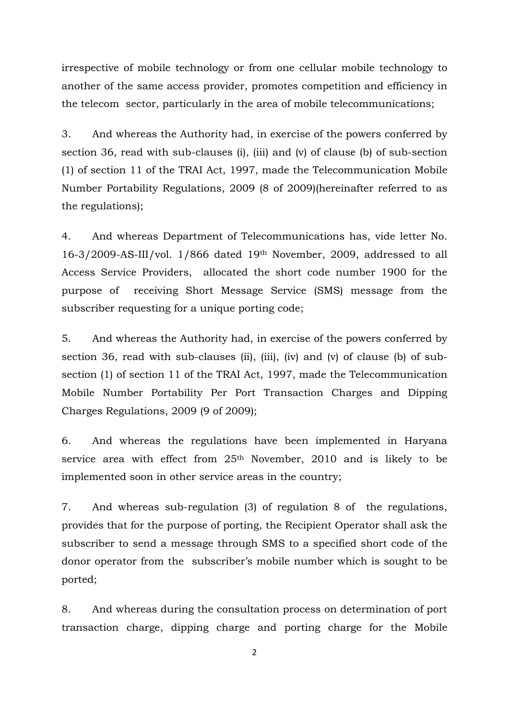irrespective of mobile technology or from one cellular mobile technology to another of the same access provider, promotes competition and efficiency in the telecom sector, particularly in the area of mobile telecommunications;

3. And whereas the Authority had, in exercise of the powers conferred by section 36, read with sub-clauses (i), (iii) and (v) of clause (b) of sub-section (1) of section 11 of the TRAI Act, 1997, made the Telecommunication Mobile Number Portability Regulations, 2009 (8 of 2009)(hereinafter referred to as the regulations);

4. And whereas Department of Telecommunications has, vide letter No. 16-3/2009-AS-III/vol. 1/866 dated 19th November, 2009, addressed to all Access Service Providers, allocated the short code number 1900 for the purpose of receiving Short Message Service (SMS) message from the subscriber requesting for a unique porting code;

5. And whereas the Authority had, in exercise of the powers conferred by section 36, read with sub-clauses (ii), (iii), (iv) and (v) of clause (b) of subsection (1) of section 11 of the TRAI Act, 1997, made the Telecommunication Mobile Number Portability Per Port Transaction Charges and Dipping Charges Regulations, 2009 (9 of 2009);

6. And whereas the regulations have been implemented in Haryana service area with effect from 25<sup>th</sup> November, 2010 and is likely to be implemented soon in other service areas in the country;

7. And whereas sub-regulation (3) of regulation 8 of the regulations, provides that for the purpose of porting, the Recipient Operator shall ask the subscriber to send a message through SMS to a specified short code of the donor operator from the subscriber's mobile number which is sought to be ported;

8. And whereas during the consultation process on determination of port transaction charge, dipping charge and porting charge for the Mobile

2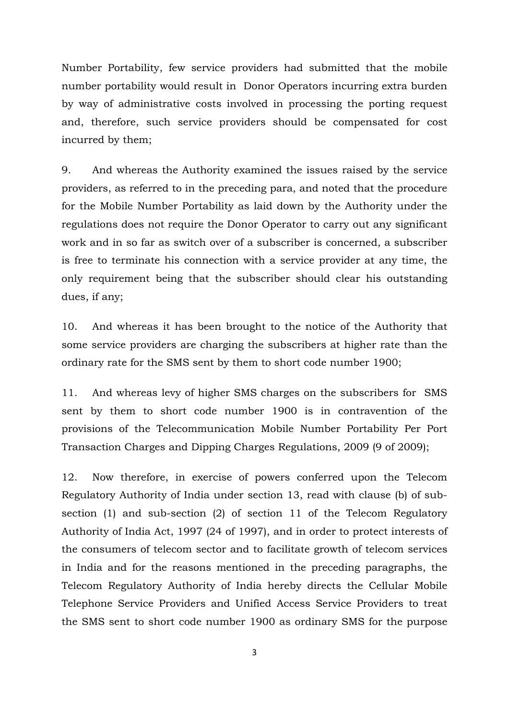Number Portability, few service providers had submitted that the mobile number portability would result in Donor Operators incurring extra burden by way of administrative costs involved in processing the porting request and, therefore, such service providers should be compensated for cost incurred by them;

9. And whereas the Authority examined the issues raised by the service providers, as referred to in the preceding para, and noted that the procedure for the Mobile Number Portability as laid down by the Authority under the regulations does not require the Donor Operator to carry out any significant work and in so far as switch over of a subscriber is concerned, a subscriber is free to terminate his connection with a service provider at any time, the only requirement being that the subscriber should clear his outstanding dues, if any;

10. And whereas it has been brought to the notice of the Authority that some service providers are charging the subscribers at higher rate than the ordinary rate for the SMS sent by them to short code number 1900;

11. And whereas levy of higher SMS charges on the subscribers for SMS sent by them to short code number 1900 is in contravention of the provisions of the Telecommunication Mobile Number Portability Per Port Transaction Charges and Dipping Charges Regulations, 2009 (9 of 2009);

12. Now therefore, in exercise of powers conferred upon the Telecom Regulatory Authority of India under section 13, read with clause (b) of subsection (1) and sub-section (2) of section 11 of the Telecom Regulatory Authority of India Act, 1997 (24 of 1997), and in order to protect interests of the consumers of telecom sector and to facilitate growth of telecom services in India and for the reasons mentioned in the preceding paragraphs, the Telecom Regulatory Authority of India hereby directs the Cellular Mobile Telephone Service Providers and Unified Access Service Providers to treat the SMS sent to short code number 1900 as ordinary SMS for the purpose